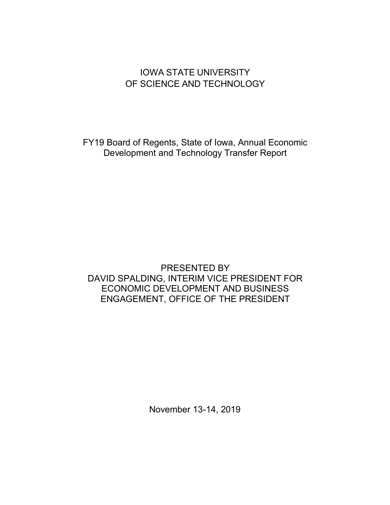# IOWA STATE UNIVERSITY OF SCIENCE AND TECHNOLOGY

FY19 Board of Regents, State of Iowa, Annual Economic Development and Technology Transfer Report

## PRESENTED BY DAVID SPALDING, INTERIM VICE PRESIDENT FOR ECONOMIC DEVELOPMENT AND BUSINESS ENGAGEMENT, OFFICE OF THE PRESIDENT

November 13-14, 2019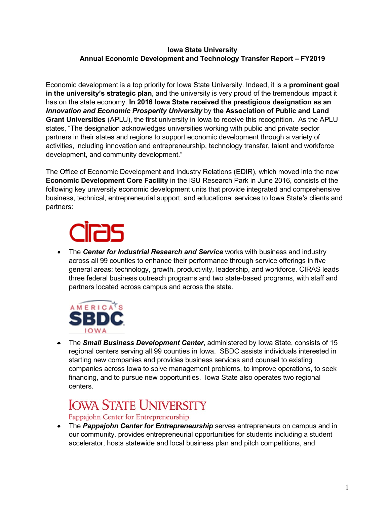#### **Iowa State University Annual Economic Development and Technology Transfer Report – FY2019**

Economic development is a top priority for Iowa State University. Indeed, it is a **prominent goal in the university's strategic plan**, and the university is very proud of the tremendous impact it has on the state economy. **In 2016 Iowa State received the prestigious designation as an** *Innovation and Economic Prosperity University* by **the Association of Public and Land Grant Universities** (APLU), the first university in Iowa to receive this recognition. As the APLU states, "The designation acknowledges universities working with public and private sector partners in their states and regions to support economic development through a variety of activities, including innovation and entrepreneurship, technology transfer, talent and workforce development, and community development."

The Office of Economic Development and Industry Relations (EDIR), which moved into the new **Economic Development Core Facility** in the ISU Research Park in June 2016, consists of the following key university economic development units that provide integrated and comprehensive business, technical, entrepreneurial support, and educational services to Iowa State's clients and partners:

• The *Center for Industrial Research and Service* works with business and industry across all 99 counties to enhance their performance through service offerings in five general areas: technology, growth, productivity, leadership, and workforce. CIRAS leads three federal business outreach programs and two state-based programs, with staff and partners located across campus and across the state.



• The *Small Business Development Center*, administered by Iowa State, consists of 15 regional centers serving all 99 counties in Iowa. SBDC assists individuals interested in starting new companies and provides business services and counsel to existing companies across Iowa to solve management problems, to improve operations, to seek financing, and to pursue new opportunities. Iowa State also operates two regional centers.

# **IOWA STATE UNIVERSITY**

Pappajohn Center for Entrepreneurship

• The *Pappajohn Center for Entrepreneurship* serves entrepreneurs on campus and in our community, provides entrepreneurial opportunities for students including a student accelerator, hosts statewide and local business plan and pitch competitions, and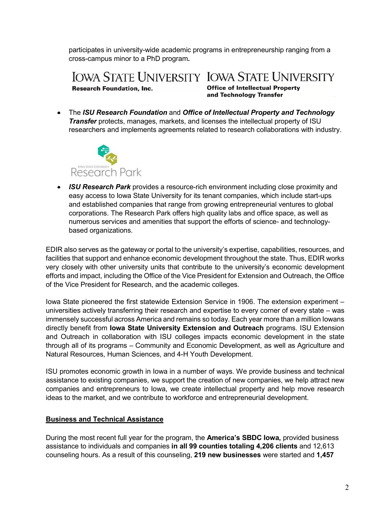participates in university-wide academic programs in entrepreneurship ranging from a cross-campus minor to a PhD program*.*

**IOWA STATE UNIVERSITY IOWA STATE UNIVERSITY Research Foundation, Inc.** 

**Office of Intellectual Property** and Technology Transfer

• The *ISU Research Foundation* and *Office of Intellectual Property and Technology Transfer* protects, manages, markets, and licenses the intellectual property of ISU researchers and implements agreements related to research collaborations with industry.



• *ISU Research Park* provides a resource-rich environment including close proximity and easy access to Iowa State University for its tenant companies, which include start-ups and established companies that range from growing entrepreneurial ventures to global corporations. The Research Park offers high quality labs and office space, as well as numerous services and amenities that support the efforts of science- and technologybased organizations.

EDIR also serves as the gateway or portal to the university's expertise, capabilities, resources, and facilities that support and enhance economic development throughout the state. Thus, EDIR works very closely with other university units that contribute to the university's economic development efforts and impact, including the Office of the Vice President for Extension and Outreach, the Office of the Vice President for Research, and the academic colleges.

Iowa State pioneered the first statewide Extension Service in 1906. The extension experiment – universities actively transferring their research and expertise to every corner of every state – was immensely successful across America and remains so today. Each year more than a million Iowans directly benefit from **Iowa State University Extension and Outreach** programs. ISU Extension and Outreach in collaboration with ISU colleges impacts economic development in the state through all of its programs – Community and Economic Development, as well as Agriculture and Natural Resources, Human Sciences, and 4-H Youth Development.

ISU promotes economic growth in Iowa in a number of ways. We provide business and technical assistance to existing companies, we support the creation of new companies, we help attract new companies and entrepreneurs to Iowa, we create intellectual property and help move research ideas to the market, and we contribute to workforce and entrepreneurial development.

#### **Business and Technical Assistance**

During the most recent full year for the program, the **America's SBDC Iowa,** provided business assistance to individuals and companies **in all 99 counties totaling 4,206 clients** and 12,613 counseling hours. As a result of this counseling, **219 new businesses** were started and **1,457**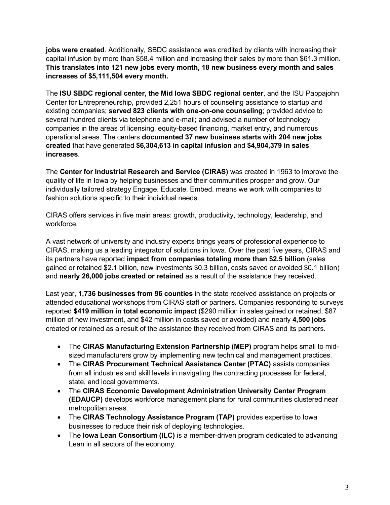**jobs were created**. Additionally, SBDC assistance was credited by clients with increasing their capital infusion by more than \$58.4 million and increasing their sales by more than \$61.3 million. **This translates into 121 new jobs every month, 18 new business every month and sales increases of \$5,111,504 every month.**

The **ISU SBDC regional center, the Mid Iowa SBDC regional center**, and the ISU Pappajohn Center for Entrepreneurship, provided 2,251 hours of counseling assistance to startup and existing companies; **served 823 clients with one-on-one counseling**; provided advice to several hundred clients via telephone and e-mail; and advised a number of technology companies in the areas of licensing, equity-based financing, market entry, and numerous operational areas. The centers **documented 37 new business starts with 204 new jobs created** that have generated **\$6,304,613 in capital infusion** and **\$4,904,379 in sales increases**.

The **Center for Industrial Research and Service (CIRAS)** was created in 1963 to improve the quality of life in Iowa by helping businesses and their communities prosper and grow. Our individually tailored strategy Engage. Educate. Embed. means we work with companies to fashion solutions specific to their individual needs.

CIRAS offers services in five main areas: growth, productivity, technology, leadership, and workforce.

A vast network of university and industry experts brings years of professional experience to CIRAS, making us a leading integrator of solutions in Iowa. Over the past five years, CIRAS and its partners have reported **impact from companies totaling more than \$2.5 billion** (sales gained or retained \$2.1 billion, new investments \$0.3 billion, costs saved or avoided \$0.1 billion) and **nearly 26,000 jobs created or retained** as a result of the assistance they received.

Last year, **1,736 businesses from 96 counties** in the state received assistance on projects or attended educational workshops from CIRAS staff or partners. Companies responding to surveys reported **\$419 million in total economic impact** (\$290 million in sales gained or retained, \$87 million of new investment, and \$42 million in costs saved or avoided) and nearly **4,500 jobs** created or retained as a result of the assistance they received from CIRAS and its partners.

- The **CIRAS Manufacturing Extension Partnership (MEP)** program helps small to midsized manufacturers grow by implementing new technical and management practices.
- The **CIRAS Procurement Technical Assistance Center (PTAC)** assists companies from all industries and skill levels in navigating the contracting processes for federal, state, and local governments.
- The **CIRAS Economic Development Administration University Center Program (EDAUCP)** develops workforce management plans for rural communities clustered near metropolitan areas.
- The **CIRAS Technology Assistance Program (TAP)** provides expertise to Iowa businesses to reduce their risk of deploying technologies.
- The **Iowa Lean Consortium (ILC)** is a member-driven program dedicated to advancing Lean in all sectors of the economy.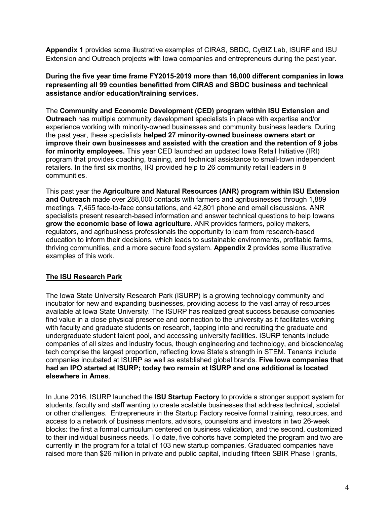**Appendix 1** provides some illustrative examples of CIRAS, SBDC, CyBIZ Lab, ISURF and ISU Extension and Outreach projects with Iowa companies and entrepreneurs during the past year.

**During the five year time frame FY2015-2019 more than 16,000 different companies in Iowa representing all 99 counties benefitted from CIRAS and SBDC business and technical assistance and/or education/training services.** 

The **Community and Economic Development (CED) program within ISU Extension and Outreach** has multiple community development specialists in place with expertise and/or experience working with minority-owned businesses and community business leaders. During the past year, these specialists **helped 27 minority-owned business owners start or improve their own businesses and assisted with the creation and the retention of 9 jobs for minority employees.** This year CED launched an updated Iowa Retail Initiative (IRI) program that provides coaching, training, and technical assistance to small-town independent retailers. In the first six months, IRI provided help to 26 community retail leaders in 8 communities.

This past year the **Agriculture and Natural Resources (ANR) program within ISU Extension and Outreach** made over 288,000 contacts with farmers and agribusinesses through 1,889 meetings, 7,465 face-to-face consultations, and 42,801 phone and email discussions. ANR specialists present research-based information and answer technical questions to help Iowans **grow the economic base of Iowa agriculture**. ANR provides farmers, policy makers, regulators, and agribusiness professionals the opportunity to learn from research-based education to inform their decisions, which leads to sustainable environments, profitable farms, thriving communities, and a more secure food system. **Appendix 2** provides some illustrative examples of this work.

#### **The ISU Research Park**

The Iowa State University Research Park (ISURP) is a growing technology community and incubator for new and expanding businesses, providing access to the vast array of resources available at Iowa State University. The ISURP has realized great success because companies find value in a close physical presence and connection to the university as it facilitates working with faculty and graduate students on research, tapping into and recruiting the graduate and undergraduate student talent pool, and accessing university facilities. ISURP tenants include companies of all sizes and industry focus, though engineering and technology, and bioscience/ag tech comprise the largest proportion, reflecting Iowa State's strength in STEM. Tenants include companies incubated at ISURP as well as established global brands. **Five Iowa companies that had an IPO started at ISURP; today two remain at ISURP and one additional is located elsewhere in Ames**.

In June 2016, ISURP launched the **ISU Startup Factory** to provide a stronger support system for students, faculty and staff wanting to create scalable businesses that address technical, societal or other challenges. Entrepreneurs in the Startup Factory receive formal training, resources, and access to a network of business mentors, advisors, counselors and investors in two 26-week blocks: the first a formal curriculum centered on business validation, and the second, customized to their individual business needs. To date, five cohorts have completed the program and two are currently in the program for a total of 103 new startup companies. Graduated companies have raised more than \$26 million in private and public capital, including fifteen SBIR Phase I grants,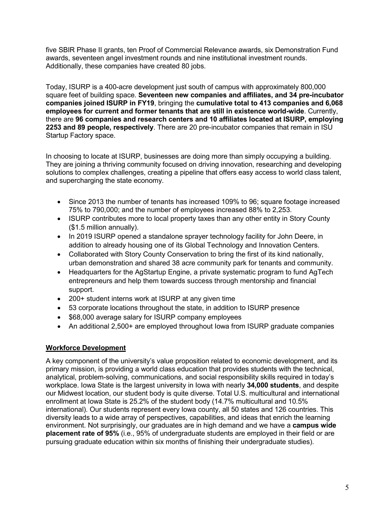five SBIR Phase II grants, ten Proof of Commercial Relevance awards, six Demonstration Fund awards, seventeen angel investment rounds and nine institutional investment rounds. Additionally, these companies have created 80 jobs.

Today, ISURP is a 400-acre development just south of campus with approximately 800,000 square feet of building space. **Seventeen new companies and affiliates, and 34 pre-incubator companies joined ISURP in FY19**, bringing the **cumulative total to 413 companies and 6,068 employees for current and former tenants that are still in existence world-wide**. Currently, there are **96 companies and research centers and 10 affiliates located at ISURP, employing 2253 and 89 people, respectively**. There are 20 pre-incubator companies that remain in ISU Startup Factory space.

In choosing to locate at ISURP, businesses are doing more than simply occupying a building. They are joining a thriving community focused on driving innovation, researching and developing solutions to complex challenges, creating a pipeline that offers easy access to world class talent, and supercharging the state economy.

- Since 2013 the number of tenants has increased 109% to 96; square footage increased 75% to 790,000; and the number of employees increased 88% to 2,253.
- ISURP contributes more to local property taxes than any other entity in Story County (\$1.5 million annually).
- In 2019 ISURP opened a standalone sprayer technology facility for John Deere, in addition to already housing one of its Global Technology and Innovation Centers.
- Collaborated with Story County Conservation to bring the first of its kind nationally, urban demonstration and shared 38 acre community park for tenants and community.
- Headquarters for the AgStartup Engine, a private systematic program to fund AgTech entrepreneurs and help them towards success through mentorship and financial support.
- 200+ student interns work at ISURP at any given time
- 53 corporate locations throughout the state, in addition to ISURP presence
- \$68,000 average salary for ISURP company employees
- An additional 2,500+ are employed throughout lowa from ISURP graduate companies

#### **Workforce Development**

A key component of the university's value proposition related to economic development, and its primary mission, is providing a world class education that provides students with the technical, analytical, problem-solving, communications, and social responsibility skills required in today's workplace. Iowa State is the largest university in Iowa with nearly **34,000 students**, and despite our Midwest location, our student body is quite diverse. Total U.S. multicultural and international enrollment at Iowa State is 25.2% of the student body (14.7% multicultural and 10.5% international). Our students represent every Iowa county, all 50 states and 126 countries. This diversity leads to a wide array of perspectives, capabilities, and ideas that enrich the learning environment. Not surprisingly, our graduates are in high demand and we have a **campus wide placement rate of 95%** (i.e., 95% of undergraduate students are employed in their field or are pursuing graduate education within six months of finishing their undergraduate studies).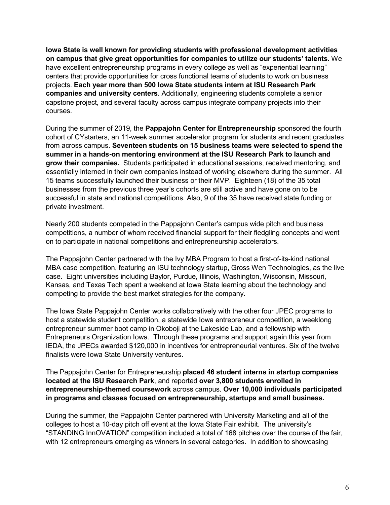**Iowa State is well known for providing students with professional development activities on campus that give great opportunities for companies to utilize our students' talents.** We have excellent entrepreneurship programs in every college as well as "experiential learning" centers that provide opportunities for cross functional teams of students to work on business projects. **Each year more than 500 Iowa State students intern at ISU Research Park companies and university centers**. Additionally, engineering students complete a senior capstone project, and several faculty across campus integrate company projects into their courses.

During the summer of 2019, the **Pappajohn Center for Entrepreneurship** sponsored the fourth cohort of CYstarters, an 11-week summer accelerator program for students and recent graduates from across campus. **Seventeen students on 15 business teams were selected to spend the summer in a hands-on mentoring environment at the ISU Research Park to launch and grow their companies.** Students participated in educational sessions, received mentoring, and essentially interned in their own companies instead of working elsewhere during the summer. All 15 teams successfully launched their business or their MVP. Eighteen (18) of the 35 total businesses from the previous three year's cohorts are still active and have gone on to be successful in state and national competitions. Also, 9 of the 35 have received state funding or private investment.

Nearly 200 students competed in the Pappajohn Center's campus wide pitch and business competitions, a number of whom received financial support for their fledgling concepts and went on to participate in national competitions and entrepreneurship accelerators.

The Pappajohn Center partnered with the Ivy MBA Program to host a first-of-its-kind national MBA case competition, featuring an ISU technology startup, Gross Wen Technologies, as the live case. Eight universities including Baylor, Purdue, Illinois, Washington, Wisconsin, Missouri, Kansas, and Texas Tech spent a weekend at Iowa State learning about the technology and competing to provide the best market strategies for the company.

The Iowa State Pappajohn Center works collaboratively with the other four JPEC programs to host a statewide student competition, a statewide Iowa entrepreneur competition, a weeklong entrepreneur summer boot camp in Okoboji at the Lakeside Lab, and a fellowship with Entrepreneurs Organization Iowa. Through these programs and support again this year from IEDA, the JPECs awarded \$120,000 in incentives for entrepreneurial ventures. Six of the twelve finalists were Iowa State University ventures.

The Pappajohn Center for Entrepreneurship **placed 46 student interns in startup companies located at the ISU Research Park**, and reported **over 3,800 students enrolled in entrepreneurship-themed coursework** across campus. **Over 10,000 individuals participated in programs and classes focused on entrepreneurship, startups and small business.** 

During the summer, the Pappajohn Center partnered with University Marketing and all of the colleges to host a 10-day pitch off event at the Iowa State Fair exhibit. The university's "STANDING InnOVATION" competition included a total of 168 pitches over the course of the fair, with 12 entrepreneurs emerging as winners in several categories. In addition to showcasing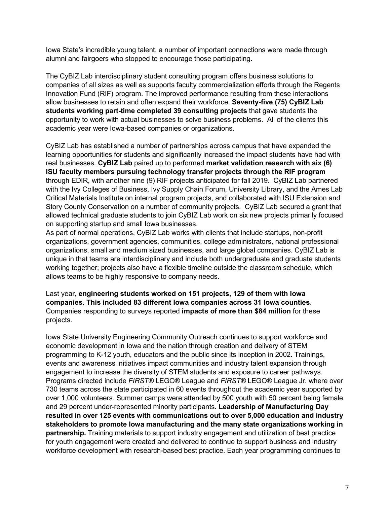Iowa State's incredible young talent, a number of important connections were made through alumni and fairgoers who stopped to encourage those participating.

The CyBIZ Lab interdisciplinary student consulting program offers business solutions to companies of all sizes as well as supports faculty commercialization efforts through the Regents Innovation Fund (RIF) program. The improved performance resulting from these interactions allow businesses to retain and often expand their workforce. **Seventy-five (75) CyBIZ Lab students working part-time completed 39 consulting projects** that gave students the opportunity to work with actual businesses to solve business problems. All of the clients this academic year were Iowa-based companies or organizations.

CyBIZ Lab has established a number of partnerships across campus that have expanded the learning opportunities for students and significantly increased the impact students have had with real businesses. **CyBIZ Lab** paired up to performed **market validation research with six (6) ISU faculty members pursuing technology transfer projects through the RIF program**  through EDIR, with another nine (9) RIF projects anticipated for fall 2019. CyBIZ Lab partnered with the Ivy Colleges of Business, Ivy Supply Chain Forum, University Library, and the Ames Lab Critical Materials Institute on internal program projects, and collaborated with ISU Extension and Story County Conservation on a number of community projects. CyBIZ Lab secured a grant that allowed technical graduate students to join CyBIZ Lab work on six new projects primarily focused on supporting startup and small Iowa businesses.

As part of normal operations, CyBIZ Lab works with clients that include startups, non-profit organizations, government agencies, communities, college administrators, national professional organizations, small and medium sized businesses, and large global companies. CyBIZ Lab is unique in that teams are interdisciplinary and include both undergraduate and graduate students working together; projects also have a flexible timeline outside the classroom schedule, which allows teams to be highly responsive to company needs.

Last year, **engineering students worked on 151 projects, 129 of them with Iowa companies. This included 83 different Iowa companies across 31 Iowa counties**. Companies responding to surveys reported **impacts of more than \$84 million** for these projects.

Iowa State University Engineering Community Outreach continues to support workforce and economic development in Iowa and the nation through creation and delivery of STEM programming to K-12 youth, educators and the public since its inception in 2002. Trainings, events and awareness initiatives impact communities and industry talent expansion through engagement to increase the diversity of STEM students and exposure to career pathways. Programs directed include *FIRST®* LEGO® League and *FIRST®* LEGO® League Jr. where over 730 teams across the state participated in 60 events throughout the academic year supported by over 1,000 volunteers. Summer camps were attended by 500 youth with 50 percent being female and 29 percent under-represented minority participants**. Leadership of Manufacturing Day resulted in over 125 events with communications out to over 5,000 education and industry stakeholders to promote Iowa manufacturing and the many state organizations working in partnership.** Training materials to support industry engagement and utilization of best practice for youth engagement were created and delivered to continue to support business and industry workforce development with research-based best practice. Each year programming continues to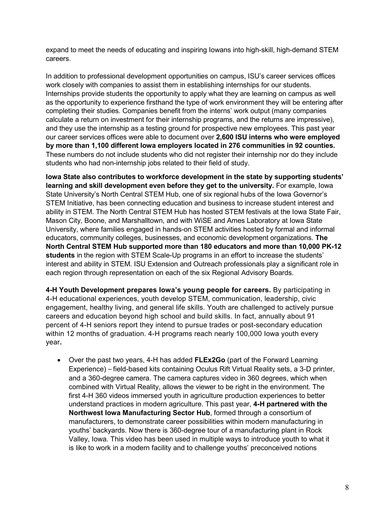expand to meet the needs of educating and inspiring Iowans into high-skill, high-demand STEM careers.

In addition to professional development opportunities on campus, ISU's career services offices work closely with companies to assist them in establishing internships for our students. Internships provide students the opportunity to apply what they are learning on campus as well as the opportunity to experience firsthand the type of work environment they will be entering after completing their studies. Companies benefit from the interns' work output (many companies calculate a return on investment for their internship programs, and the returns are impressive), and they use the internship as a testing ground for prospective new employees. This past year our career services offices were able to document over **2,600 ISU interns who were employed by more than 1,100 different Iowa employers located in 276 communities in 92 counties.** These numbers do not include students who did not register their internship nor do they include students who had non-internship jobs related to their field of study.

**Iowa State also contributes to workforce development in the state by supporting students' learning and skill development even before they get to the university.** For example, Iowa State University's North Central STEM Hub, one of six regional hubs of the Iowa Governor's STEM Initiative, has been connecting education and business to increase student interest and ability in STEM. The North Central STEM Hub has hosted STEM festivals at the Iowa State Fair, Mason City, Boone, and Marshalltown, and with WiSE and Ames Laboratory at Iowa State University, where families engaged in hands-on STEM activities hosted by formal and informal educators, community colleges, businesses, and economic development organizations. **The North Central STEM Hub supported more than 180 educators and more than 10,000 PK-12 students** in the region with STEM Scale-Up programs in an effort to increase the students' interest and ability in STEM. ISU Extension and Outreach professionals play a significant role in each region through representation on each of the six Regional Advisory Boards.

**4-H Youth Development prepares Iowa's young people for careers.** By participating in 4-H educational experiences, youth develop STEM, communication, leadership, civic engagement, healthy living, and general life skills. Youth are challenged to actively pursue careers and education beyond high school and build skills. In fact, annually about 91 percent of 4-H seniors report they intend to pursue trades or post-secondary education within 12 months of graduation. 4-H programs reach nearly 100,000 Iowa youth every year**.**

• Over the past two years, 4-H has added **FLEx2Go** (part of the Forward Learning Experience) – field-based kits containing Oculus Rift Virtual Reality sets, a 3-D printer, and a 360-degree camera. The camera captures video in 360 degrees, which when combined with Virtual Reality, allows the viewer to be right in the environment. The first 4-H 360 videos immersed youth in agriculture production experiences to better understand practices in modern agriculture. This past year, **4-H partnered with the Northwest Iowa Manufacturing Sector Hub**, formed through a consortium of manufacturers, to demonstrate career possibilities within modern manufacturing in youths' backyards. Now there is 360-degree tour of a manufacturing plant in Rock Valley, Iowa. This video has been used in multiple ways to introduce youth to what it is like to work in a modern facility and to challenge youths' preconceived notions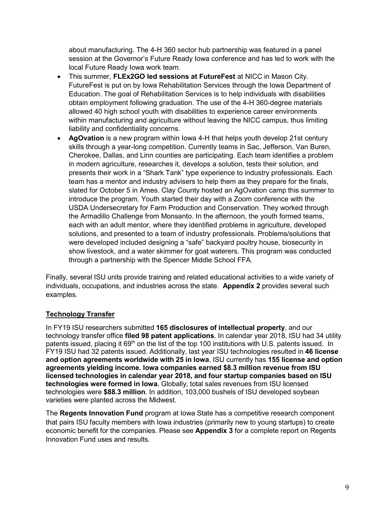about manufacturing. The 4-H 360 sector hub partnership was featured in a panel session at the Governor's Future Ready Iowa conference and has led to work with the local Future Ready Iowa work team.

- This summer, **FLEx2GO led sessions at FutureFest** at NICC in Mason City. FutureFest is put on by Iowa Rehabilitation Services through the Iowa Department of Education. The goal of Rehabilitation Services is to help individuals with disabilities obtain employment following graduation. The use of the 4-H 360-degree materials allowed 40 high school youth with disabilities to experience career environments within manufacturing and agriculture without leaving the NICC campus, thus limiting liability and confidentiality concerns.
- **AgOvation** is a new program within Iowa 4-H that helps youth develop 21st century skills through a year-long competition. Currently teams in Sac, Jefferson, Van Buren, Cherokee, Dallas, and Linn counties are participating. Each team identifies a problem in modern agriculture, researches it, develops a solution, tests their solution, and presents their work in a "Shark Tank" type experience to industry professionals. Each team has a mentor and industry advisers to help them as they prepare for the finals, slated for October 5 in Ames. Clay County hosted an AgOvation camp this summer to introduce the program. Youth started their day with a Zoom conference with the USDA Undersecretary for Farm Production and Conservation. They worked through the Armadillo Challenge from Monsanto. In the afternoon, the youth formed teams, each with an adult mentor, where they identified problems in agriculture, developed solutions, and presented to a team of industry professionals. Problems/solutions that were developed included designing a "safe" backyard poultry house, biosecurity in show livestock, and a water skimmer for goat waterers. This program was conducted through a partnership with the Spencer Middle School FFA.

Finally, several ISU units provide training and related educational activities to a wide variety of individuals, occupations, and industries across the state. **Appendix 2** provides several such examples.

### **Technology Transfer**

In FY19 ISU researchers submitted **165 disclosures of intellectual property**, and our technology transfer office **filed 98 patent applications**. In calendar year 2018, ISU had 34 utility patents issued, placing it 69<sup>th</sup> on the list of the top 100 institutions with U.S. patents issued. In FY19 ISU had 32 patents issued. Additionally, last year ISU technologies resulted in **46 license and option agreements worldwide with 25 in Iowa**. ISU currently has **155 license and option agreements yielding income. Iowa companies earned \$8.3 million revenue from ISU licensed technologies in calendar year 2018, and four startup companies based on ISU technologies were formed in Iowa.** Globally, total sales revenues from ISU licensed technologies were **\$88.3 million**. In addition, 103,000 bushels of ISU developed soybean varieties were planted across the Midwest.

The **Regents Innovation Fund** program at Iowa State has a competitive research component that pairs ISU faculty members with Iowa industries (primarily new to young startups) to create economic benefit for the companies. Please see **Appendix 3** for a complete report on Regents Innovation Fund uses and results.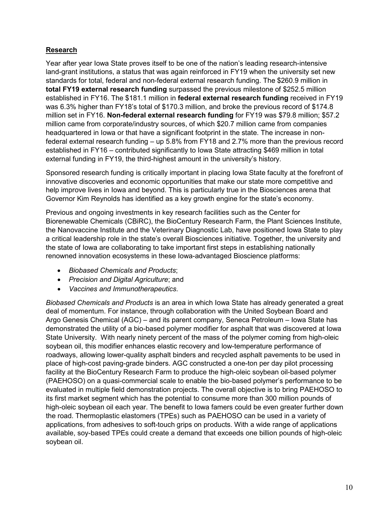#### **Research**

Year after year Iowa State proves itself to be one of the nation's leading research-intensive land-grant institutions, a status that was again reinforced in FY19 when the university set new standards for total, federal and non-federal external research funding. The \$260.9 million in **total FY19 external research funding** surpassed the previous milestone of \$252.5 million established in FY16. The \$181.1 million in **federal external research funding** received in FY19 was 6.3% higher than FY18's total of \$170.3 million, and broke the previous record of \$174.8 million set in FY16. **Non-federal external research funding** for FY19 was \$79.8 million; \$57.2 million came from corporate/industry sources, of which \$20.7 million came from companies headquartered in Iowa or that have a significant footprint in the state. The increase in nonfederal external research funding – up 5.8% from FY18 and 2.7% more than the previous record established in FY16 – contributed significantly to Iowa State attracting \$469 million in total external funding in FY19, the third-highest amount in the university's history.

Sponsored research funding is critically important in placing Iowa State faculty at the forefront of innovative discoveries and economic opportunities that make our state more competitive and help improve lives in Iowa and beyond. This is particularly true in the Biosciences arena that Governor Kim Reynolds has identified as a key growth engine for the state's economy.

Previous and ongoing investments in key research facilities such as the Center for Biorenewable Chemicals (CBiRC), the BioCentury Research Farm, the Plant Sciences Institute, the Nanovaccine Institute and the Veterinary Diagnostic Lab, have positioned Iowa State to play a critical leadership role in the state's overall Biosciences initiative. Together, the university and the state of Iowa are collaborating to take important first steps in establishing nationally renowned innovation ecosystems in these Iowa-advantaged Bioscience platforms:

- *Biobased Chemicals and Products*;
- *Precision and Digital Agriculture*; and
- *Vaccines and Immunotherapeutics*.

*Biobased Chemicals and Products* is an area in which Iowa State has already generated a great deal of momentum. For instance, through collaboration with the United Soybean Board and Argo Genesis Chemical (AGC) – and its parent company, Seneca Petroleum – Iowa State has demonstrated the utility of a bio-based polymer modifier for asphalt that was discovered at Iowa State University. With nearly ninety percent of the mass of the polymer coming from high-oleic soybean oil, this modifier enhances elastic recovery and low-temperature performance of roadways, allowing lower-quality asphalt binders and recycled asphalt pavements to be used in place of high-cost paving-grade binders. AGC constructed a one-ton per day pilot processing facility at the BioCentury Research Farm to produce the high-oleic soybean oil-based polymer (PAEHOSO) on a quasi-commercial scale to enable the bio-based polymer's performance to be evaluated in multiple field demonstration projects. The overall objective is to bring PAEHOSO to its first market segment which has the potential to consume more than 300 million pounds of high-oleic soybean oil each year. The benefit to Iowa famers could be even greater further down the road. Thermoplastic elastomers (TPEs) such as PAEHOSO can be used in a variety of applications, from adhesives to soft-touch grips on products. With a wide range of applications available, soy-based TPEs could create a demand that exceeds one billion pounds of high-oleic soybean oil.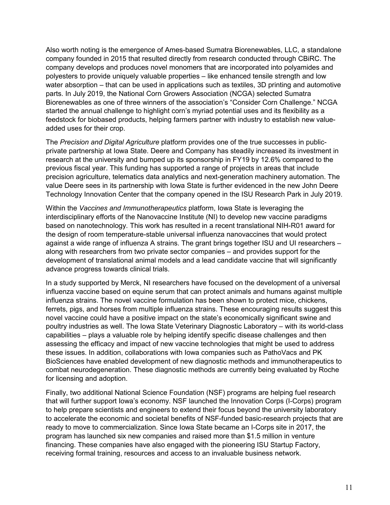Also worth noting is the emergence of Ames-based Sumatra Biorenewables, LLC, a standalone company founded in 2015 that resulted directly from research conducted through CBiRC. The company develops and produces novel monomers that are incorporated into polyamides and polyesters to provide uniquely valuable properties – like enhanced tensile strength and low water absorption – that can be used in applications such as textiles, 3D printing and automotive parts. In July 2019, the National Corn Growers Association (NCGA) selected Sumatra Biorenewables as one of three winners of the association's "Consider Corn Challenge." NCGA started the annual challenge to highlight corn's myriad potential uses and its flexibility as a feedstock for biobased products, helping farmers partner with industry to establish new valueadded uses for their crop.

The *Precision and Digital Agriculture* platform provides one of the true successes in publicprivate partnership at Iowa State. Deere and Company has steadily increased its investment in research at the university and bumped up its sponsorship in FY19 by 12.6% compared to the previous fiscal year. This funding has supported a range of projects in areas that include precision agriculture, telematics data analytics and next-generation machinery automation. The value Deere sees in its partnership with Iowa State is further evidenced in the new John Deere Technology Innovation Center that the company opened in the ISU Research Park in July 2019.

Within the *Vaccines and Immunotherapeutics* platform, Iowa State is leveraging the interdisciplinary efforts of the Nanovaccine Institute (NI) to develop new vaccine paradigms based on nanotechnology. This work has resulted in a recent translational NIH-R01 award for the design of room temperature-stable universal influenza nanovaccines that would protect against a wide range of influenza A strains. The grant brings together ISU and UI researchers – along with researchers from two private sector companies – and provides support for the development of translational animal models and a lead candidate vaccine that will significantly advance progress towards clinical trials.

In a study supported by Merck, NI researchers have focused on the development of a universal influenza vaccine based on equine serum that can protect animals and humans against multiple influenza strains. The novel vaccine formulation has been shown to protect mice, chickens, ferrets, pigs, and horses from multiple influenza strains. These encouraging results suggest this novel vaccine could have a positive impact on the state's economically significant swine and poultry industries as well. The Iowa State Veterinary Diagnostic Laboratory – with its world-class capabilities – plays a valuable role by helping identify specific disease challenges and then assessing the efficacy and impact of new vaccine technologies that might be used to address these issues. In addition, collaborations with Iowa companies such as PathoVacs and PK BioSciences have enabled development of new diagnostic methods and immunotherapeutics to combat neurodegeneration. These diagnostic methods are currently being evaluated by Roche for licensing and adoption.

Finally, two additional National Science Foundation (NSF) programs are helping fuel research that will further support Iowa's economy. NSF launched the Innovation Corps (I-Corps) program to help prepare scientists and engineers to extend their focus beyond the university laboratory to accelerate the economic and societal benefits of NSF-funded basic-research projects that are ready to move to commercialization. Since Iowa State became an I-Corps site in 2017, the program has launched six new companies and raised more than \$1.5 million in venture financing. These companies have also engaged with the pioneering ISU Startup Factory, receiving formal training, resources and access to an invaluable business network.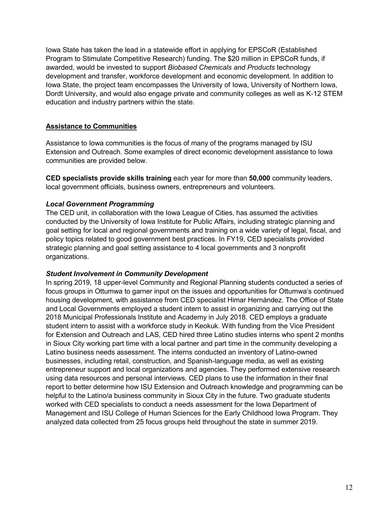Iowa State has taken the lead in a statewide effort in applying for EPSCoR (Established Program to Stimulate Competitive Research) funding. The \$20 million in EPSCoR funds, if awarded, would be invested to support *Biobased Chemicals and Products* technology development and transfer, workforce development and economic development. In addition to Iowa State, the project team encompasses the University of Iowa, University of Northern Iowa, Dordt University, and would also engage private and community colleges as well as K-12 STEM education and industry partners within the state.

#### **Assistance to Communities**

Assistance to Iowa communities is the focus of many of the programs managed by ISU Extension and Outreach. Some examples of direct economic development assistance to Iowa communities are provided below.

**CED specialists provide skills training** each year for more than **50,000** community leaders, local government officials, business owners, entrepreneurs and volunteers.

#### *Local Government Programming*

The CED unit, in collaboration with the Iowa League of Cities, has assumed the activities conducted by the University of Iowa Institute for Public Affairs, including strategic planning and goal setting for local and regional governments and training on a wide variety of legal, fiscal, and policy topics related to good government best practices. In FY19, CED specialists provided strategic planning and goal setting assistance to 4 local governments and 3 nonprofit organizations.

#### *Student Involvement in Community Development*

In spring 2019, 18 upper-level Community and Regional Planning students conducted a series of focus groups in Ottumwa to garner input on the issues and opportunities for Ottumwa's continued housing development, with assistance from CED specialist Himar Hernández. The Office of State and Local Governments employed a student intern to assist in organizing and carrying out the 2018 Municipal Professionals Institute and Academy in July 2018. CED employs a graduate student intern to assist with a workforce study in Keokuk. With funding from the Vice President for Extension and Outreach and LAS, CED hired three Latino studies interns who spent 2 months in Sioux City working part time with a local partner and part time in the community developing a Latino business needs assessment. The interns conducted an inventory of Latino-owned businesses, including retail, construction, and Spanish-language media, as well as existing entrepreneur support and local organizations and agencies. They performed extensive research using data resources and personal interviews. CED plans to use the information in their final report to better determine how ISU Extension and Outreach knowledge and programming can be helpful to the Latino/a business community in Sioux City in the future. Two graduate students worked with CED specialists to conduct a needs assessment for the Iowa Department of Management and ISU College of Human Sciences for the Early Childhood Iowa Program. They analyzed data collected from 25 focus groups held throughout the state in summer 2019.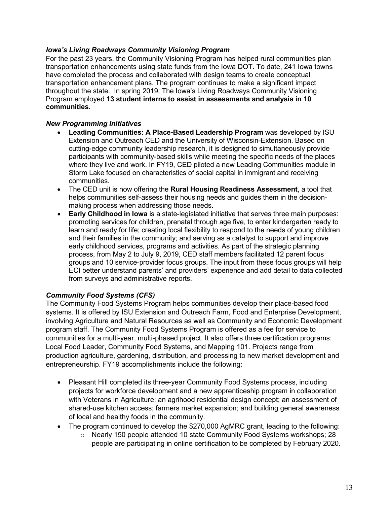#### *Iowa's Living Roadways Community Visioning Program*

For the past 23 years, the Community Visioning Program has helped rural communities plan transportation enhancements using state funds from the Iowa DOT. To date, 241 Iowa towns have completed the process and collaborated with design teams to create conceptual transportation enhancement plans. The program continues to make a significant impact throughout the state. In spring 2019, The Iowa's Living Roadways Community Visioning Program employed **13 student interns to assist in assessments and analysis in 10 communities.**

#### *New Programming Initiatives*

- **Leading Communities: A Place-Based Leadership Program** was developed by ISU Extension and Outreach CED and the University of Wisconsin-Extension. Based on cutting-edge community leadership research, it is designed to simultaneously provide participants with community-based skills while meeting the specific needs of the places where they live and work. In FY19, CED piloted a new Leading Communities module in Storm Lake focused on characteristics of social capital in immigrant and receiving communities.
- The CED unit is now offering the **Rural Housing Readiness Assessment**, a tool that helps communities self-assess their housing needs and guides them in the decisionmaking process when addressing those needs.
- **Early Childhood in Iowa** is a state-legislated initiative that serves three main purposes: promoting services for children, prenatal through age five, to enter kindergarten ready to learn and ready for life; creating local flexibility to respond to the needs of young children and their families in the community; and serving as a catalyst to support and improve early childhood services, programs and activities. As part of the strategic planning process, from May 2 to July 9, 2019, CED staff members facilitated 12 parent focus groups and 10 service-provider focus groups. The input from these focus groups will help ECI better understand parents' and providers' experience and add detail to data collected from surveys and administrative reports.

#### *Community Food Systems (CFS)*

The Community Food Systems Program helps communities develop their place-based food systems. It is offered by ISU Extension and Outreach Farm, Food and Enterprise Development, involving Agriculture and Natural Resources as well as Community and Economic Development program staff. The Community Food Systems Program is offered as a fee for service to communities for a multi-year, multi-phased project. It also offers three certification programs: Local Food Leader, Community Food Systems, and Mapping 101. Projects range from production agriculture, gardening, distribution, and processing to new market development and entrepreneurship. FY19 accomplishments include the following:

- Pleasant Hill completed its three-year Community Food Systems process, including projects for workforce development and a new apprenticeship program in collaboration with Veterans in Agriculture; an agrihood residential design concept; an assessment of shared-use kitchen access; farmers market expansion; and building general awareness of local and healthy foods in the community.
- The program continued to develop the \$270,000 AgMRC grant, leading to the following:
	- o Nearly 150 people attended 10 state Community Food Systems workshops; 28 people are participating in online certification to be completed by February 2020.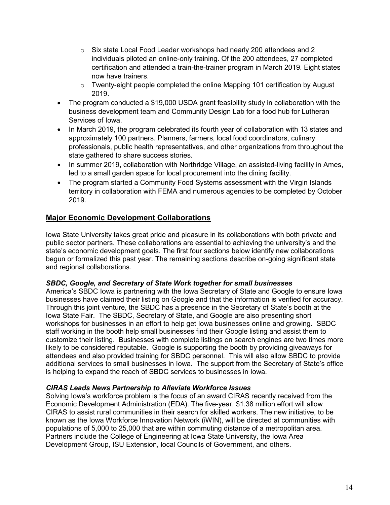- o Six state Local Food Leader workshops had nearly 200 attendees and 2 individuals piloted an online-only training. Of the 200 attendees, 27 completed certification and attended a train-the-trainer program in March 2019. Eight states now have trainers.
- o Twenty-eight people completed the online Mapping 101 certification by August 2019.
- The program conducted a \$19,000 USDA grant feasibility study in collaboration with the business development team and Community Design Lab for a food hub for Lutheran Services of Iowa.
- In March 2019, the program celebrated its fourth year of collaboration with 13 states and approximately 100 partners. Planners, farmers, local food coordinators, culinary professionals, public health representatives, and other organizations from throughout the state gathered to share success stories.
- In summer 2019, collaboration with Northridge Village, an assisted-living facility in Ames, led to a small garden space for local procurement into the dining facility.
- The program started a Community Food Systems assessment with the Virgin Islands territory in collaboration with FEMA and numerous agencies to be completed by October 2019.

### **Major Economic Development Collaborations**

Iowa State University takes great pride and pleasure in its collaborations with both private and public sector partners. These collaborations are essential to achieving the university's and the state's economic development goals. The first four sections below identify new collaborations begun or formalized this past year. The remaining sections describe on-going significant state and regional collaborations.

#### *SBDC, Google, and Secretary of State Work together for small businesses*

America's SBDC Iowa is partnering with the Iowa Secretary of State and Google to ensure Iowa businesses have claimed their listing on Google and that the information is verified for accuracy. Through this joint venture, the SBDC has a presence in the Secretary of State's booth at the Iowa State Fair. The SBDC, Secretary of State, and Google are also presenting short workshops for businesses in an effort to help get Iowa businesses online and growing. SBDC staff working in the booth help small businesses find their Google listing and assist them to customize their listing. Businesses with complete listings on search engines are two times more likely to be considered reputable. Google is supporting the booth by providing giveaways for attendees and also provided training for SBDC personnel. This will also allow SBDC to provide additional services to small businesses in Iowa. The support from the Secretary of State's office is helping to expand the reach of SBDC services to businesses in Iowa.

#### *CIRAS Leads News Partnership to Alleviate Workforce Issues*

Solving Iowa's workforce problem is the focus of an award CIRAS recently received from the Economic Development Administration (EDA). The five-year, \$1.38 million effort will allow CIRAS to assist rural communities in their search for skilled workers. The new initiative, to be known as the Iowa Workforce Innovation Network (iWIN), will be directed at communities with populations of 5,000 to 25,000 that are within commuting distance of a metropolitan area. Partners include the College of Engineering at Iowa State University, the Iowa Area Development Group, ISU Extension, local Councils of Government, and others.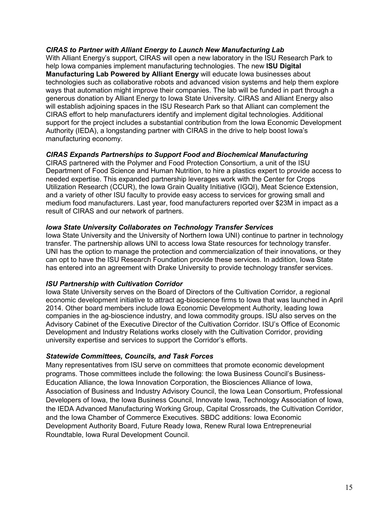#### *CIRAS to Partner with Alliant Energy to Launch New Manufacturing Lab*

With Alliant Energy's support, CIRAS will open a new laboratory in the ISU Research Park to help Iowa companies implement manufacturing technologies. The new **ISU Digital Manufacturing Lab Powered by Alliant Energy** will educate Iowa businesses about technologies such as collaborative robots and advanced vision systems and help them explore ways that automation might improve their companies. The lab will be funded in part through a generous donation by Alliant Energy to Iowa State University. CIRAS and Alliant Energy also will establish adjoining spaces in the ISU Research Park so that Alliant can complement the CIRAS effort to help manufacturers identify and implement digital technologies. Additional support for the project includes a substantial contribution from the Iowa Economic Development Authority (IEDA), a longstanding partner with CIRAS in the drive to help boost Iowa's manufacturing economy.

#### *CIRAS Expands Partnerships to Support Food and Biochemical Manufacturing*

CIRAS partnered with the Polymer and Food Protection Consortium, a unit of the ISU Department of Food Science and Human Nutrition, to hire a plastics expert to provide access to needed expertise. This expanded partnership leverages work with the Center for Crops Utilization Research (CCUR), the Iowa Grain Quality Initiative (IGQI), Meat Science Extension, and a variety of other ISU faculty to provide easy access to services for growing small and medium food manufacturers. Last year, food manufacturers reported over \$23M in impact as a result of CIRAS and our network of partners.

#### *Iowa State University Collaborates on Technology Transfer Services*

Iowa State University and the University of Northern Iowa UNI) continue to partner in technology transfer. The partnership allows UNI to access Iowa State resources for technology transfer. UNI has the option to manage the protection and commercialization of their innovations, or they can opt to have the ISU Research Foundation provide these services. In addition, Iowa State has entered into an agreement with Drake University to provide technology transfer services.

#### *ISU Partnership with Cultivation Corridor*

Iowa State University serves on the Board of Directors of the Cultivation Corridor, a regional economic development initiative to attract ag-bioscience firms to Iowa that was launched in April 2014. Other board members include Iowa Economic Development Authority, leading Iowa companies in the ag-bioscience industry, and Iowa commodity groups. ISU also serves on the Advisory Cabinet of the Executive Director of the Cultivation Corridor. ISU's Office of Economic Development and Industry Relations works closely with the Cultivation Corridor, providing university expertise and services to support the Corridor's efforts.

#### *Statewide Committees, Councils, and Task Forces*

Many representatives from ISU serve on committees that promote economic development programs. Those committees include the following: the Iowa Business Council's Business-Education Alliance, the Iowa Innovation Corporation, the Biosciences Alliance of Iowa, Association of Business and Industry Advisory Council, the Iowa Lean Consortium, Professional Developers of Iowa, the Iowa Business Council, Innovate Iowa, Technology Association of Iowa, the IEDA Advanced Manufacturing Working Group, Capital Crossroads, the Cultivation Corridor, and the Iowa Chamber of Commerce Executives. SBDC additions: Iowa Economic Development Authority Board, Future Ready Iowa, Renew Rural Iowa Entrepreneurial Roundtable, Iowa Rural Development Council.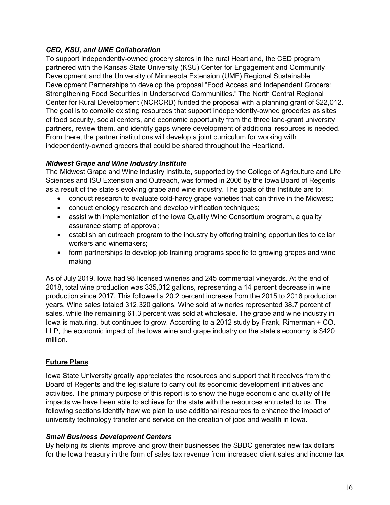#### *CED, KSU, and UME Collaboration*

To support independently-owned grocery stores in the rural Heartland, the CED program partnered with the Kansas State University (KSU) Center for Engagement and Community Development and the University of Minnesota Extension (UME) Regional Sustainable Development Partnerships to develop the proposal "Food Access and Independent Grocers: Strengthening Food Securities in Underserved Communities." The North Central Regional Center for Rural Development (NCRCRD) funded the proposal with a planning grant of \$22,012. The goal is to compile existing resources that support independently-owned groceries as sites of food security, social centers, and economic opportunity from the three land-grant university partners, review them, and identify gaps where development of additional resources is needed. From there, the partner institutions will develop a joint curriculum for working with independently-owned grocers that could be shared throughout the Heartland.

#### *Midwest Grape and Wine Industry Institute*

The Midwest Grape and Wine Industry Institute, supported by the College of Agriculture and Life Sciences and ISU Extension and Outreach, was formed in 2006 by the Iowa Board of Regents as a result of the state's evolving grape and wine industry. The goals of the Institute are to:

- conduct research to evaluate cold-hardy grape varieties that can thrive in the Midwest;
- conduct enology research and develop vinification techniques;
- assist with implementation of the Iowa Quality Wine Consortium program, a quality assurance stamp of approval;
- establish an outreach program to the industry by offering training opportunities to cellar workers and winemakers;
- form partnerships to develop job training programs specific to growing grapes and wine making

As of July 2019, Iowa had 98 licensed wineries and 245 commercial vineyards. At the end of 2018, total wine production was 335,012 gallons, representing a 14 percent decrease in wine production since 2017. This followed a 20.2 percent increase from the 2015 to 2016 production years. Wine sales totaled 312,320 gallons. Wine sold at wineries represented 38.7 percent of sales, while the remaining 61.3 percent was sold at wholesale. The grape and wine industry in Iowa is maturing, but continues to grow. According to a 2012 study by Frank, Rimerman + CO. LLP, the economic impact of the Iowa wine and grape industry on the state's economy is \$420 million.

### **Future Plans**

Iowa State University greatly appreciates the resources and support that it receives from the Board of Regents and the legislature to carry out its economic development initiatives and activities. The primary purpose of this report is to show the huge economic and quality of life impacts we have been able to achieve for the state with the resources entrusted to us. The following sections identify how we plan to use additional resources to enhance the impact of university technology transfer and service on the creation of jobs and wealth in Iowa.

#### *Small Business Development Centers*

By helping its clients improve and grow their businesses the SBDC generates new tax dollars for the Iowa treasury in the form of sales tax revenue from increased client sales and income tax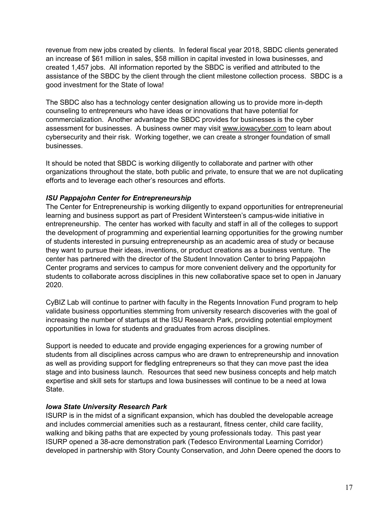revenue from new jobs created by clients. In federal fiscal year 2018, SBDC clients generated an increase of \$61 million in sales, \$58 million in capital invested in Iowa businesses, and created 1,457 jobs. All information reported by the SBDC is verified and attributed to the assistance of the SBDC by the client through the client milestone collection process. SBDC is a good investment for the State of Iowa!

The SBDC also has a technology center designation allowing us to provide more in-depth counseling to entrepreneurs who have ideas or innovations that have potential for commercialization. Another advantage the SBDC provides for businesses is the cyber assessment for businesses. A business owner may visit [www.iowacyber.com](http://www.iowacyber.com/) to learn about cybersecurity and their risk. Working together, we can create a stronger foundation of small businesses.

It should be noted that SBDC is working diligently to collaborate and partner with other organizations throughout the state, both public and private, to ensure that we are not duplicating efforts and to leverage each other's resources and efforts.

#### *ISU Pappajohn Center for Entrepreneurship*

The Center for Entrepreneurship is working diligently to expand opportunities for entrepreneurial learning and business support as part of President Wintersteen's campus-wide initiative in entrepreneurship. The center has worked with faculty and staff in all of the colleges to support the development of programming and experiential learning opportunities for the growing number of students interested in pursuing entrepreneurship as an academic area of study or because they want to pursue their ideas, inventions, or product creations as a business venture. The center has partnered with the director of the Student Innovation Center to bring Pappajohn Center programs and services to campus for more convenient delivery and the opportunity for students to collaborate across disciplines in this new collaborative space set to open in January 2020.

CyBIZ Lab will continue to partner with faculty in the Regents Innovation Fund program to help validate business opportunities stemming from university research discoveries with the goal of increasing the number of startups at the ISU Research Park, providing potential employment opportunities in Iowa for students and graduates from across disciplines.

Support is needed to educate and provide engaging experiences for a growing number of students from all disciplines across campus who are drawn to entrepreneurship and innovation as well as providing support for fledgling entrepreneurs so that they can move past the idea stage and into business launch. Resources that seed new business concepts and help match expertise and skill sets for startups and Iowa businesses will continue to be a need at Iowa State.

#### *Iowa State University Research Park*

ISURP is in the midst of a significant expansion, which has doubled the developable acreage and includes commercial amenities such as a restaurant, fitness center, child care facility, walking and biking paths that are expected by young professionals today. This past year ISURP opened a 38-acre demonstration park (Tedesco Environmental Learning Corridor) developed in partnership with Story County Conservation, and John Deere opened the doors to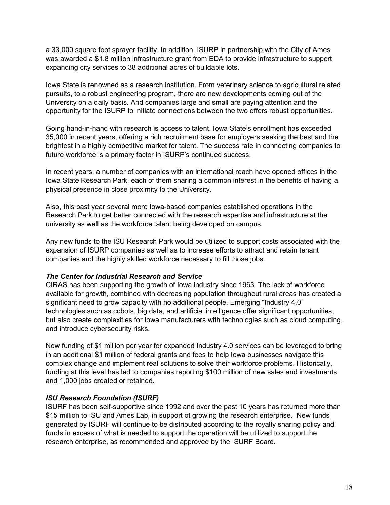a 33,000 square foot sprayer facility. In addition, ISURP in partnership with the City of Ames was awarded a \$1.8 million infrastructure grant from EDA to provide infrastructure to support expanding city services to 38 additional acres of buildable lots.

Iowa State is renowned as a research institution. From veterinary science to agricultural related pursuits, to a robust engineering program, there are new developments coming out of the University on a daily basis. And companies large and small are paying attention and the opportunity for the ISURP to initiate connections between the two offers robust opportunities.

Going hand-in-hand with research is access to talent. Iowa State's enrollment has exceeded 35,000 in recent years, offering a rich recruitment base for employers seeking the best and the brightest in a highly competitive market for talent. The success rate in connecting companies to future workforce is a primary factor in ISURP's continued success.

In recent years, a number of companies with an international reach have opened offices in the Iowa State Research Park, each of them sharing a common interest in the benefits of having a physical presence in close proximity to the University.

Also, this past year several more Iowa-based companies established operations in the Research Park to get better connected with the research expertise and infrastructure at the university as well as the workforce talent being developed on campus.

Any new funds to the ISU Research Park would be utilized to support costs associated with the expansion of ISURP companies as well as to increase efforts to attract and retain tenant companies and the highly skilled workforce necessary to fill those jobs.

#### *The Center for Industrial Research and Service*

CIRAS has been supporting the growth of Iowa industry since 1963. The lack of workforce available for growth, combined with decreasing population throughout rural areas has created a significant need to grow capacity with no additional people. Emerging "Industry 4.0" technologies such as cobots, big data, and artificial intelligence offer significant opportunities, but also create complexities for Iowa manufacturers with technologies such as cloud computing, and introduce cybersecurity risks.

New funding of \$1 million per year for expanded Industry 4.0 services can be leveraged to bring in an additional \$1 million of federal grants and fees to help Iowa businesses navigate this complex change and implement real solutions to solve their workforce problems. Historically, funding at this level has led to companies reporting \$100 million of new sales and investments and 1,000 jobs created or retained.

#### *ISU Research Foundation (ISURF)*

ISURF has been self-supportive since 1992 and over the past 10 years has returned more than \$15 million to ISU and Ames Lab, in support of growing the research enterprise. New funds generated by ISURF will continue to be distributed according to the royalty sharing policy and funds in excess of what is needed to support the operation will be utilized to support the research enterprise, as recommended and approved by the ISURF Board.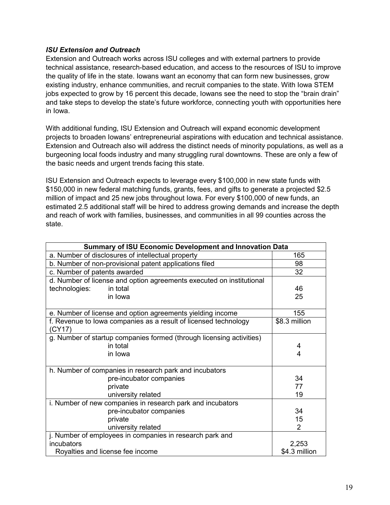#### *ISU Extension and Outreach*

Extension and Outreach works across ISU colleges and with external partners to provide technical assistance, research-based education, and access to the resources of ISU to improve the quality of life in the state. Iowans want an economy that can form new businesses, grow existing industry, enhance communities, and recruit companies to the state. With Iowa STEM jobs expected to grow by 16 percent this decade, Iowans see the need to stop the "brain drain" and take steps to develop the state's future workforce, connecting youth with opportunities here in Iowa.

With additional funding, ISU Extension and Outreach will expand economic development projects to broaden Iowans' entrepreneurial aspirations with education and technical assistance. Extension and Outreach also will address the distinct needs of minority populations, as well as a burgeoning local foods industry and many struggling rural downtowns. These are only a few of the basic needs and urgent trends facing this state.

ISU Extension and Outreach expects to leverage every \$100,000 in new state funds with \$150,000 in new federal matching funds, grants, fees, and gifts to generate a projected \$2.5 million of impact and 25 new jobs throughout Iowa. For every \$100,000 of new funds, an estimated 2.5 additional staff will be hired to address growing demands and increase the depth and reach of work with families, businesses, and communities in all 99 counties across the state.

| <b>Summary of ISU Economic Development and Innovation Data</b>            |                |  |  |  |
|---------------------------------------------------------------------------|----------------|--|--|--|
| a. Number of disclosures of intellectual property                         | 165            |  |  |  |
| b. Number of non-provisional patent applications filed                    | 98             |  |  |  |
| c. Number of patents awarded                                              | 32             |  |  |  |
| d. Number of license and option agreements executed on institutional      |                |  |  |  |
| technologies:<br>in total                                                 | 46             |  |  |  |
| in Iowa                                                                   | 25             |  |  |  |
| e. Number of license and option agreements yielding income                | 155            |  |  |  |
| f. Revenue to lowa companies as a result of licensed technology<br>(CY17) | \$8.3 million  |  |  |  |
| g. Number of startup companies formed (through licensing activities)      |                |  |  |  |
| in total                                                                  | 4              |  |  |  |
| in Iowa                                                                   | 4              |  |  |  |
| h. Number of companies in research park and incubators                    |                |  |  |  |
| pre-incubator companies                                                   | 34             |  |  |  |
| private                                                                   | 77             |  |  |  |
| university related                                                        | 19             |  |  |  |
| i. Number of new companies in research park and incubators                |                |  |  |  |
| pre-incubator companies                                                   | 34             |  |  |  |
| private                                                                   | 15             |  |  |  |
| university related                                                        | $\overline{2}$ |  |  |  |
| j. Number of employees in companies in research park and                  |                |  |  |  |
| incubators                                                                | 2,253          |  |  |  |
| Royalties and license fee income                                          | \$4.3 million  |  |  |  |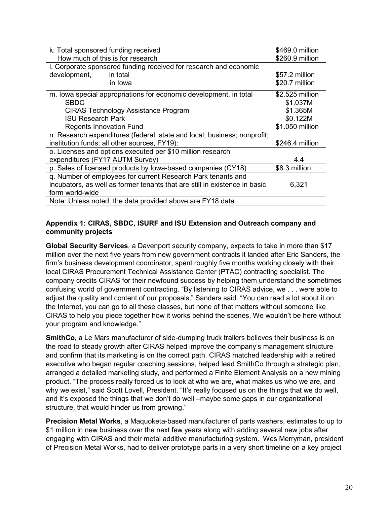| k. Total sponsored funding received                                        | \$469.0 million |
|----------------------------------------------------------------------------|-----------------|
| How much of this is for research                                           | \$260.9 million |
| I. Corporate sponsored funding received for research and economic          |                 |
| development,<br>in total                                                   | \$57.2 million  |
| in Iowa                                                                    | \$20.7 million  |
| m. Iowa special appropriations for economic development, in total          | \$2.525 million |
| <b>SBDC</b>                                                                | \$1.037M        |
| <b>CIRAS Technology Assistance Program</b>                                 | \$1.365M        |
| <b>ISU Research Park</b>                                                   | \$0.122M        |
| <b>Regents Innovation Fund</b>                                             | \$1.050 million |
| n. Research expenditures (federal, state and local; business; nonprofit;   |                 |
| institution funds; all other sources, FY19):                               | \$246.4 million |
| o. Licenses and options executed per \$10 million research                 |                 |
| expenditures (FY17 AUTM Survey)                                            | 4.4             |
| p. Sales of licensed products by Iowa-based companies (CY18)               | \$8.3 million   |
| q. Number of employees for current Research Park tenants and               |                 |
| incubators, as well as former tenants that are still in existence in basic | 6,321           |
| form world-wide                                                            |                 |
| Note: Unless noted, the data provided above are FY18 data.                 |                 |

#### **Appendix 1: CIRAS, SBDC, ISURF and ISU Extension and Outreach company and community projects**

**Global Security Services**, a Davenport security company, expects to take in more than \$17 million over the next five years from new government contracts it landed after Eric Sanders, the firm's business development coordinator, spent roughly five months working closely with their local CIRAS Procurement Technical Assistance Center (PTAC) contracting specialist. The company credits CIRAS for their newfound success by helping them understand the sometimes confusing world of government contracting. "By listening to CIRAS advice, we . . . were able to adjust the quality and content of our proposals," Sanders said. "You can read a lot about it on the Internet, you can go to all these classes, but none of that matters without someone like CIRAS to help you piece together how it works behind the scenes. We wouldn't be here without your program and knowledge."

**SmithCo**, a Le Mars manufacturer of side-dumping truck trailers believes their business is on the road to steady growth after CIRAS helped improve the company's management structure and confirm that its marketing is on the correct path. CIRAS matched leadership with a retired executive who began regular coaching sessions, helped lead SmithCo through a strategic plan, arranged a detailed marketing study, and performed a Finite Element Analysis on a new mining product. "The process really forced us to look at who we are, what makes us who we are, and why we exist," said Scott Lovell, President. "It's really focused us on the things that we do well, and it's exposed the things that we don't do well –maybe some gaps in our organizational structure, that would hinder us from growing."

**Precision Metal Works**, a Maquoketa-based manufacturer of parts washers, estimates to up to \$1 million in new business over the next few years along with adding several new jobs after engaging with CIRAS and their metal additive manufacturing system. Wes Merryman, president of Precision Metal Works, had to deliver prototype parts in a very short timeline on a key project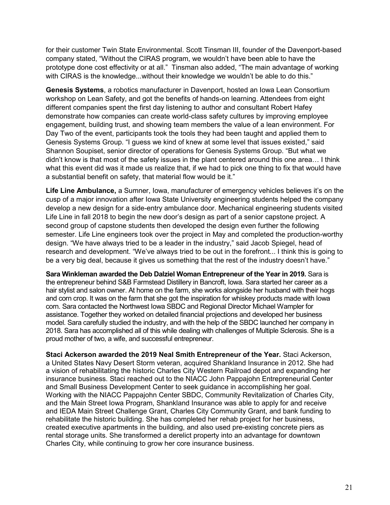for their customer Twin State Environmental. Scott Tinsman III, founder of the Davenport-based company stated, "Without the CIRAS program, we wouldn't have been able to have the prototype done cost effectivity or at all." Tinsman also added, "The main advantage of working with CIRAS is the knowledge...without their knowledge we wouldn't be able to do this."

**Genesis Systems**, a robotics manufacturer in Davenport, hosted an Iowa Lean Consortium workshop on Lean Safety, and got the benefits of hands-on learning. Attendees from eight different companies spent the first day listening to author and consultant Robert Hafey demonstrate how companies can create world-class safety cultures by improving employee engagement, building trust, and showing team members the value of a lean environment. For Day Two of the event, participants took the tools they had been taught and applied them to Genesis Systems Group. "I guess we kind of knew at some level that issues existed," said Shannon Soupiset, senior director of operations for Genesis Systems Group. "But what we didn't know is that most of the safety issues in the plant centered around this one area… I think what this event did was it made us realize that, if we had to pick one thing to fix that would have a substantial benefit on safety, that material flow would be it."

**Life Line Ambulance,** a Sumner, Iowa, manufacturer of emergency vehicles believes it's on the cusp of a major innovation after Iowa State University engineering students helped the company develop a new design for a side-entry ambulance door. Mechanical engineering students visited Life Line in fall 2018 to begin the new door's design as part of a senior capstone project. A second group of capstone students then developed the design even further the following semester. Life Line engineers took over the project in May and completed the production-worthy design. "We have always tried to be a leader in the industry," said Jacob Spiegel, head of research and development. "We've always tried to be out in the forefront... I think this is going to be a very big deal, because it gives us something that the rest of the industry doesn't have."

**Sara Winkleman awarded the Deb Dalziel Woman Entrepreneur of the Year in 2019.** Sara is the entrepreneur behind S&B Farmstead Distillery in Bancroft, Iowa. Sara started her career as a hair stylist and salon owner. At home on the farm, she works alongside her husband with their hogs and corn crop. It was on the farm that she got the inspiration for whiskey products made with Iowa corn. Sara contacted the Northwest Iowa SBDC and Regional Director Michael Wampler for assistance. Together they worked on detailed financial projections and developed her business model. Sara carefully studied the industry, and with the help of the SBDC launched her company in 2018. Sara has accomplished all of this while dealing with challenges of Multiple Sclerosis. She is a proud mother of two, a wife, and successful entrepreneur.

**Staci Ackerson awarded the 2019 Neal Smith Entrepreneur of the Year.** Staci Ackerson, a United States Navy Desert Storm veteran, acquired Shankland Insurance in 2012. She had a vision of rehabilitating the historic Charles City Western Railroad depot and expanding her insurance business. Staci reached out to the NIACC John Pappajohn Entrepreneurial Center and Small Business Development Center to seek guidance in accomplishing her goal. Working with the NIACC Pappajohn Center SBDC, Community Revitalization of Charles City, and the Main Street Iowa Program, Shankland Insurance was able to apply for and receive and IEDA Main Street Challenge Grant, Charles City Community Grant, and bank funding to rehabilitate the historic building. She has completed her rehab project for her business, created executive apartments in the building, and also used pre-existing concrete piers as rental storage units. She transformed a derelict property into an advantage for downtown Charles City, while continuing to grow her core insurance business.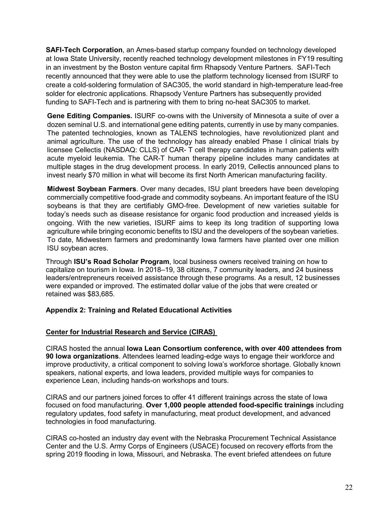**SAFI-Tech Corporation**, an Ames-based startup company founded on technology developed at Iowa State University, recently reached technology development milestones in FY19 resulting in an investment by the Boston venture capital firm Rhapsody Venture Partners. SAFI-Tech recently announced that they were able to use the platform technology licensed from ISURF to create a cold-soldering formulation of SAC305, the world standard in high-temperature lead-free solder for electronic applications. Rhapsody Venture Partners has subsequently provided funding to SAFI-Tech and is partnering with them to bring no-heat SAC305 to market.

**Gene Editing Companies.** ISURF co-owns with the University of Minnesota a suite of over a dozen seminal U.S. and international gene editing patents, currently in use by many companies. The patented technologies, known as TALENS technologies, have revolutionized plant and animal agriculture. The use of the technology has already enabled Phase I clinical trials by licensee Cellectis (NASDAQ: CLLS) of CAR- T cell therapy candidates in human patients with acute myeloid leukemia. The CAR-T human therapy pipeline includes many candidates at multiple stages in the drug development process. In early 2019, Cellectis announced plans to invest nearly \$70 million in what will become its first North American manufacturing facility.

**Midwest Soybean Farmers**. Over many decades, ISU plant breeders have been developing commercially competitive food-grade and commodity soybeans. An important feature of the ISU soybeans is that they are certifiably GMO-free. Development of new varieties suitable for today's needs such as disease resistance for organic food production and increased yields is ongoing. With the new varieties, ISURF aims to keep its long tradition of supporting Iowa agriculture while bringing economic benefits to ISU and the developers of the soybean varieties. To date, Midwestern farmers and predominantly Iowa farmers have planted over one million ISU soybean acres.

Through **ISU's Road Scholar Program**, local business owners received training on how to capitalize on tourism in Iowa. In 2018–19, 38 citizens, 7 community leaders, and 24 business leaders/entrepreneurs received assistance through these programs. As a result, 12 businesses were expanded or improved. The estimated dollar value of the jobs that were created or retained was \$83,685.

#### **Appendix 2: Training and Related Educational Activities**

#### **Center for Industrial Research and Service (CIRAS)**

CIRAS hosted the annual **Iowa Lean Consortium conference, with over 400 attendees from 90 Iowa organizations**. Attendees learned leading-edge ways to engage their workforce and improve productivity, a critical component to solving Iowa's workforce shortage. Globally known speakers, national experts, and Iowa leaders, provided multiple ways for companies to experience Lean, including hands-on workshops and tours.

CIRAS and our partners joined forces to offer 41 different trainings across the state of Iowa focused on food manufacturing. **Over 1,000 people attended food-specific trainings** including regulatory updates, food safety in manufacturing, meat product development, and advanced technologies in food manufacturing.

CIRAS co-hosted an industry day event with the Nebraska Procurement Technical Assistance Center and the U.S. Army Corps of Engineers (USACE) focused on recovery efforts from the spring 2019 flooding in Iowa, Missouri, and Nebraska. The event briefed attendees on future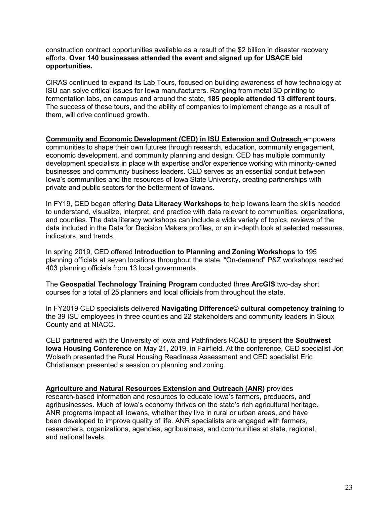construction contract opportunities available as a result of the \$2 billion in disaster recovery efforts. **Over 140 businesses attended the event and signed up for USACE bid opportunities.**

CIRAS continued to expand its Lab Tours, focused on building awareness of how technology at ISU can solve critical issues for Iowa manufacturers. Ranging from metal 3D printing to fermentation labs, on campus and around the state, **185 people attended 13 different tours**. The success of these tours, and the ability of companies to implement change as a result of them, will drive continued growth.

**Community and Economic Development (CED) in ISU Extension and Outreach** empowers communities to shape their own futures through research, education, community engagement, economic development, and community planning and design. CED has multiple community development specialists in place with expertise and/or experience working with minority-owned businesses and community business leaders. CED serves as an essential conduit between Iowa's communities and the resources of Iowa State University, creating partnerships with private and public sectors for the betterment of Iowans.

In FY19, CED began offering **Data Literacy Workshops** to help Iowans learn the skills needed to understand, visualize, interpret, and practice with data relevant to communities, organizations, and counties. The data literacy workshops can include a wide variety of topics, reviews of the data included in the Data for Decision Makers profiles, or an in-depth look at selected measures, indicators, and trends.

In spring 2019, CED offered **Introduction to Planning and Zoning Workshops** to 195 planning officials at seven locations throughout the state. "On-demand" P&Z workshops reached 403 planning officials from 13 local governments.

The **Geospatial Technology Training Program** conducted three **ArcGIS** two-day short courses for a total of 25 planners and local officials from throughout the state.

In FY2019 CED specialists delivered **Navigating Difference© cultural competency training** to the 39 ISU employees in three counties and 22 stakeholders and community leaders in Sioux County and at NIACC.

CED partnered with the University of Iowa and Pathfinders RC&D to present the **Southwest Iowa Housing Conference** on May 21, 2019, in Fairfield. At the conference, CED specialist Jon Wolseth presented the Rural Housing Readiness Assessment and CED specialist Eric Christianson presented a session on planning and zoning.

**Agriculture and Natural Resources Extension and Outreach (ANR)** provides research-based information and resources to educate Iowa's farmers, producers, and agribusinesses. Much of Iowa's economy thrives on the state's rich agricultural heritage. ANR programs impact all Iowans, whether they live in rural or urban areas, and have been developed to improve quality of life. ANR specialists are engaged with farmers, researchers, organizations, agencies, agribusiness, and communities at state, regional, and national levels.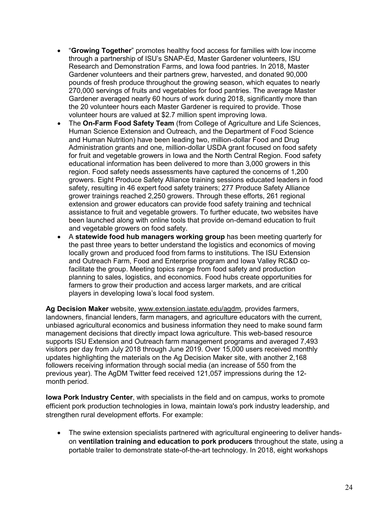- "**Growing Together**" promotes healthy food access for families with low income through a partnership of ISU's SNAP-Ed, Master Gardener volunteers, ISU Research and Demonstration Farms, and Iowa food pantries. In 2018, Master Gardener volunteers and their partners grew, harvested, and donated 90,000 pounds of fresh produce throughout the growing season, which equates to nearly 270,000 servings of fruits and vegetables for food pantries. The average Master Gardener averaged nearly 60 hours of work during 2018, significantly more than the 20 volunteer hours each Master Gardener is required to provide. Those volunteer hours are valued at \$2.7 million spent improving Iowa.
- The **On-Farm Food Safety Team** (from College of Agriculture and Life Sciences, Human Science Extension and Outreach, and the Department of Food Science and Human Nutrition) have been leading two, million-dollar Food and Drug Administration grants and one, million-dollar USDA grant focused on food safety for fruit and vegetable growers in Iowa and the North Central Region. Food safety educational information has been delivered to more than 3,000 growers in this region. Food safety needs assessments have captured the concerns of 1,200 growers. Eight Produce Safety Alliance training sessions educated leaders in food safety, resulting in 46 expert food safety trainers; 277 Produce Safety Alliance grower trainings reached 2,250 growers. Through these efforts, 261 regional extension and grower educators can provide food safety training and technical assistance to fruit and vegetable growers. To further educate, two websites have been launched along with online tools that provide on-demand education to fruit and vegetable growers on food safety.
- A **statewide food hub managers working group** has been meeting quarterly for the past three years to better understand the logistics and economics of moving locally grown and produced food from farms to institutions. The ISU Extension and Outreach Farm, Food and Enterprise program and Iowa Valley RC&D cofacilitate the group. Meeting topics range from food safety and production planning to sales, logistics, and economics. Food hubs create opportunities for farmers to grow their production and access larger markets, and are critical players in developing Iowa's local food system.

**Ag Decision Maker** website, [www.extension.iastate.edu/agdm,](http://www.extension.iastate.edu/agdm) provides farmers, landowners, financial lenders, farm managers, and agriculture educators with the current, unbiased agricultural economics and business information they need to make sound farm management decisions that directly impact Iowa agriculture. This web-based resource supports ISU Extension and Outreach farm management programs and averaged 7,493 visitors per day from July 2018 through June 2019. Over 15,000 users received monthly updates highlighting the materials on the Ag Decision Maker site, with another 2,168 followers receiving information through social media (an increase of 550 from the previous year). The AgDM Twitter feed received 121,057 impressions during the 12 month period.

**Iowa Pork Industry Center**, with specialists in the field and on campus, works to promote efficient pork production technologies in Iowa, maintain Iowa's pork industry leadership, and strengthen rural development efforts. For example:

• The swine extension specialists partnered with agricultural engineering to deliver handson **ventilation training and education to pork producers** throughout the state, using a portable trailer to demonstrate state-of-the-art technology. In 2018, eight workshops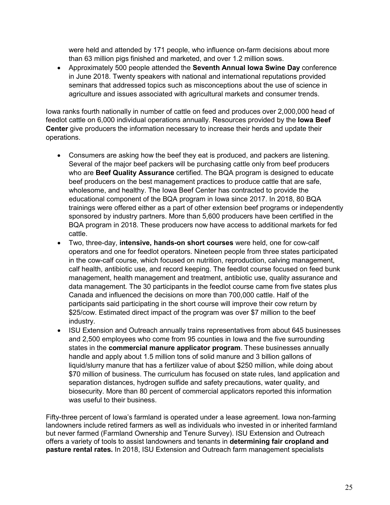were held and attended by 171 people, who influence on-farm decisions about more than 63 million pigs finished and marketed, and over 1.2 million sows.

• Approximately 500 people attended the **Seventh Annual Iowa Swine Day** conference in June 2018. Twenty speakers with national and international reputations provided seminars that addressed topics such as misconceptions about the use of science in agriculture and issues associated with agricultural markets and consumer trends.

Iowa ranks fourth nationally in number of cattle on feed and produces over 2,000,000 head of feedlot cattle on 6,000 individual operations annually. Resources provided by the **Iowa Beef Center** give producers the information necessary to increase their herds and update their operations.

- Consumers are asking how the beef they eat is produced, and packers are listening. Several of the major beef packers will be purchasing cattle only from beef producers who are **Beef Quality Assurance** certified. The BQA program is designed to educate beef producers on the best management practices to produce cattle that are safe, wholesome, and healthy. The Iowa Beef Center has contracted to provide the educational component of the BQA program in Iowa since 2017. In 2018, 80 BQA trainings were offered either as a part of other extension beef programs or independently sponsored by industry partners. More than 5,600 producers have been certified in the BQA program in 2018. These producers now have access to additional markets for fed cattle.
- Two, three-day, **intensive, hands-on short courses** were held, one for cow-calf operators and one for feedlot operators. Nineteen people from three states participated in the cow-calf course, which focused on nutrition, reproduction, calving management, calf health, antibiotic use, and record keeping. The feedlot course focused on feed bunk management, health management and treatment, antibiotic use, quality assurance and data management. The 30 participants in the feedlot course came from five states plus Canada and influenced the decisions on more than 700,000 cattle. Half of the participants said participating in the short course will improve their cow return by \$25/cow. Estimated direct impact of the program was over \$7 million to the beef industry.
- ISU Extension and Outreach annually trains representatives from about 645 businesses and 2,500 employees who come from 95 counties in Iowa and the five surrounding states in the **commercial manure applicator program**. These businesses annually handle and apply about 1.5 million tons of solid manure and 3 billion gallons of liquid/slurry manure that has a fertilizer value of about \$250 million, while doing about \$70 million of business. The curriculum has focused on state rules, land application and separation distances, hydrogen sulfide and safety precautions, water quality, and biosecurity. More than 80 percent of commercial applicators reported this information was useful to their business.

Fifty-three percent of Iowa's farmland is operated under a lease agreement. Iowa non-farming landowners include retired farmers as well as individuals who invested in or inherited farmland but never farmed (Farmland Ownership and Tenure Survey). ISU Extension and Outreach offers a variety of tools to assist landowners and tenants in **determining fair cropland and pasture rental rates.** In 2018, ISU Extension and Outreach farm management specialists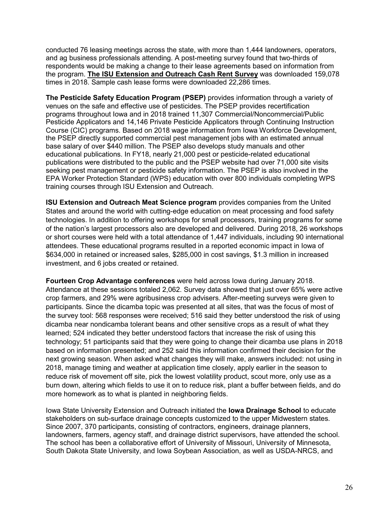conducted 76 leasing meetings across the state, with more than 1,444 landowners, operators, and ag business professionals attending. A post-meeting survey found that two-thirds of respondents would be making a change to their lease agreements based on information from the program. **[The ISU Extension and Outreach Cash Rent Survey](https://www.extension.iastate.edu/agdm/wholefarm/pdf/c2-10.pdf)** was downloaded 159,078 times in 2018. Sample cash lease forms were downloaded 22,286 times.

**The Pesticide Safety Education Program (PSEP)** provides information through a variety of venues on the safe and effective use of pesticides. The PSEP provides recertification programs throughout Iowa and in 2018 trained 11,307 Commercial/Noncommercial/Public Pesticide Applicators and 14,146 Private Pesticide Applicators through Continuing Instruction Course (CIC) programs. Based on 2018 wage information from Iowa Workforce Development, the PSEP directly supported commercial pest management jobs with an estimated annual base salary of over \$440 million. The PSEP also develops study manuals and other educational publications. In FY18, nearly 21,000 pest or pesticide-related educational publications were distributed to the public and the PSEP website had over 71,000 site visits seeking pest management or pesticide safety information. The PSEP is also involved in the EPA Worker Protection Standard (WPS) education with over 800 individuals completing WPS training courses through ISU Extension and Outreach.

**ISU Extension and Outreach Meat Science program** provides companies from the United States and around the world with cutting-edge education on meat processing and food safety technologies. In addition to offering workshops for small processors, training programs for some of the nation's largest processors also are developed and delivered. During 2018, 26 workshops or short courses were held with a total attendance of 1,447 individuals, including 90 international attendees. These educational programs resulted in a reported economic impact in Iowa of \$634,000 in retained or increased sales, \$285,000 in cost savings, \$1.3 million in increased investment, and 6 jobs created or retained.

**Fourteen Crop Advantage conferences** were held across Iowa during January 2018. Attendance at these sessions totaled 2,062. Survey data showed that just over 65% were active crop farmers, and 29% were agribusiness crop advisers. After-meeting surveys were given to participants. Since the dicamba topic was presented at all sites, that was the focus of most of the survey tool: 568 responses were received; 516 said they better understood the risk of using dicamba near nondicamba tolerant beans and other sensitive crops as a result of what they learned; 524 indicated they better understood factors that increase the risk of using this technology; 51 participants said that they were going to change their dicamba use plans in 2018 based on information presented; and 252 said this information confirmed their decision for the next growing season. When asked what changes they will make, answers included: not using in 2018, manage timing and weather at application time closely, apply earlier in the season to reduce risk of movement off site, pick the lowest volatility product, scout more, only use as a burn down, altering which fields to use it on to reduce risk, plant a buffer between fields, and do more homework as to what is planted in neighboring fields.

Iowa State University Extension and Outreach initiated the **Iowa Drainage School** to educate stakeholders on sub-surface drainage concepts customized to the upper Midwestern states. Since 2007, 370 participants, consisting of contractors, engineers, drainage planners, landowners, farmers, agency staff, and drainage district supervisors, have attended the school. The school has been a collaborative effort of University of Missouri, University of Minnesota, South Dakota State University, and Iowa Soybean Association, as well as USDA-NRCS, and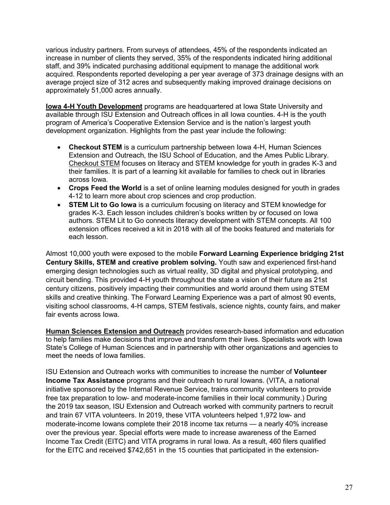various industry partners. From surveys of attendees, 45% of the respondents indicated an increase in number of clients they served, 35% of the respondents indicated hiring additional staff, and 39% indicated purchasing additional equipment to manage the additional work acquired. Respondents reported developing a per year average of 373 drainage designs with an average project size of 312 acres and subsequently making improved drainage decisions on approximately 51,000 acres annually.

**Iowa 4-H Youth Development** programs are headquartered at Iowa State University and available through ISU Extension and Outreach offices in all Iowa counties. 4-H is the youth program of America's Cooperative Extension Service and is the nation's largest youth development organization. Highlights from the past year include the following:

- **Checkout STEM** is a curriculum partnership between Iowa 4-H, Human Sciences Extension and Outreach, the ISU School of Education, and the Ames Public Library. [Checkout STEM](http://www.education.iastate.edu/checkout-stem) focuses on literacy and STEM knowledge for youth in grades K-3 and their families. It is part of a learning kit available for families to check out in libraries across Iowa.
- **Crops Feed the World** is a set of online learning modules designed for youth in grades 4-12 to learn more about crop sciences and crop production.
- **STEM Lit to Go Iowa** is a curriculum focusing on literacy and STEM knowledge for grades K-3. Each lesson includes children's books written by or focused on Iowa authors. STEM Lit to Go connects literacy development with STEM concepts. All 100 extension offices received a kit in 2018 with all of the books featured and materials for each lesson.

Almost 10,000 youth were exposed to the mobile **Forward Learning Experience bridging 21st Century Skills, STEM and creative problem solving.** Youth saw and experienced first-hand emerging design technologies such as virtual reality, 3D digital and physical prototyping, and circuit bending. This provided 4-H youth throughout the state a vision of their future as 21st century citizens, positively impacting their communities and world around them using STEM skills and creative thinking. The Forward Learning Experience was a part of almost 90 events, visiting school classrooms, 4-H camps, STEM festivals, science nights, county fairs, and maker fair events across Iowa.

**Human Sciences Extension and Outreach** provides research-based information and education to help families make decisions that improve and transform their lives. Specialists work with Iowa State's College of Human Sciences and in partnership with other organizations and agencies to meet the needs of Iowa families.

ISU Extension and Outreach works with communities to increase the number of **Volunteer Income Tax Assistance** programs and their outreach to rural Iowans. (VITA, a national initiative sponsored by the Internal Revenue Service, trains community volunteers to provide free tax preparation to low- and moderate-income families in their local community.) During the 2019 tax season, ISU Extension and Outreach worked with community partners to recruit and train 67 VITA volunteers. In 2019, these VITA volunteers helped 1,972 low- and moderate-income Iowans complete their 2018 income tax returns — a nearly 40% increase over the previous year. Special efforts were made to increase awareness of the Earned Income Tax Credit (EITC) and VITA programs in rural Iowa. As a result, 460 filers qualified for the EITC and received \$742,651 in the 15 counties that participated in the extension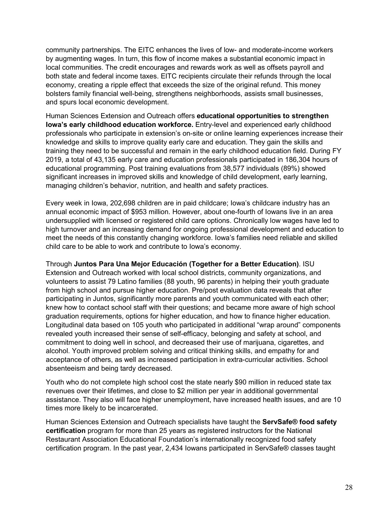community partnerships. The EITC enhances the lives of low- and moderate-income workers by augmenting wages. In turn, this flow of income makes a substantial economic impact in local communities. The credit encourages and rewards work as well as offsets payroll and both state and federal income taxes. EITC recipients circulate their refunds through the local economy, creating a ripple effect that exceeds the size of the original refund. This money bolsters family financial well-being, strengthens neighborhoods, assists small businesses, and spurs local economic development.

Human Sciences Extension and Outreach offers **educational opportunities to strengthen Iowa's early childhood education workforce.** Entry-level and experienced early childhood professionals who participate in extension's on-site or online learning experiences increase their knowledge and skills to improve quality early care and education. They gain the skills and training they need to be successful and remain in the early childhood education field. During FY 2019, a total of 43,135 early care and education professionals participated in 186,304 hours of educational programming. Post training evaluations from 38,577 individuals (89%) showed significant increases in improved skills and knowledge of child development, early learning, managing children's behavior, nutrition, and health and safety practices.

Every week in Iowa, 202,698 children are in paid childcare; Iowa's childcare industry has an annual economic impact of \$953 million. However, about one-fourth of Iowans live in an area undersupplied with licensed or registered child care options. Chronically low wages have led to high turnover and an increasing demand for ongoing professional development and education to meet the needs of this constantly changing workforce. Iowa's families need reliable and skilled child care to be able to work and contribute to Iowa's economy.

Through **Juntos Para Una Mejor Educación (Together for a Better Education)**. ISU Extension and Outreach worked with local school districts, community organizations, and volunteers to assist 79 Latino families (88 youth, 96 parents) in helping their youth graduate from high school and pursue higher education. Pre/post evaluation data reveals that after participating in Juntos, significantly more parents and youth communicated with each other; knew how to contact school staff with their questions; and became more aware of high school graduation requirements, options for higher education, and how to finance higher education. Longitudinal data based on 105 youth who participated in additional "wrap around" components revealed youth increased their sense of self-efficacy, belonging and safety at school, and commitment to doing well in school, and decreased their use of marijuana, cigarettes, and alcohol. Youth improved problem solving and critical thinking skills, and empathy for and acceptance of others, as well as increased participation in extra-curricular activities. School absenteeism and being tardy decreased.

Youth who do not complete high school cost the state nearly \$90 million in reduced state tax revenues over their lifetimes, and close to \$2 million per year in additional governmental assistance. They also will face higher unemployment, have increased health issues, and are 10 times more likely to be incarcerated.

Human Sciences Extension and Outreach specialists have taught the **ServSafe® food safety certification** program for more than 25 years as registered instructors for the National Restaurant Association Educational Foundation's internationally recognized food safety certification program. In the past year, 2,434 Iowans participated in ServSafe® classes taught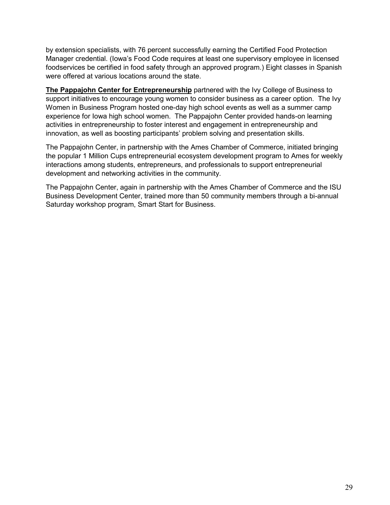by extension specialists, with 76 percent successfully earning the Certified Food Protection Manager credential. (Iowa's Food Code requires at least one supervisory employee in licensed foodservices be certified in food safety through an approved program.) Eight classes in Spanish were offered at various locations around the state.

**The Pappajohn Center for Entrepreneurship** partnered with the Ivy College of Business to support initiatives to encourage young women to consider business as a career option. The Ivy Women in Business Program hosted one-day high school events as well as a summer camp experience for Iowa high school women. The Pappajohn Center provided hands-on learning activities in entrepreneurship to foster interest and engagement in entrepreneurship and innovation, as well as boosting participants' problem solving and presentation skills.

The Pappajohn Center, in partnership with the Ames Chamber of Commerce, initiated bringing the popular 1 Million Cups entrepreneurial ecosystem development program to Ames for weekly interactions among students, entrepreneurs, and professionals to support entrepreneurial development and networking activities in the community.

The Pappajohn Center, again in partnership with the Ames Chamber of Commerce and the ISU Business Development Center, trained more than 50 community members through a bi-annual Saturday workshop program, Smart Start for Business.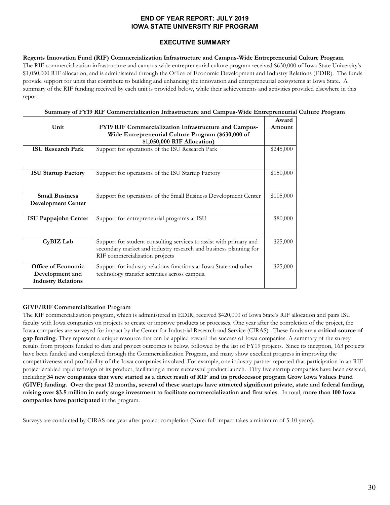#### **END OF YEAR REPORT: JULY 2019 IOWA STATE UNIVERSITY RIF PROGRAM**

#### **EXECUTIVE SUMMARY**

**Regents Innovation Fund (RIF) Commercialization Infrastructure and Campus-Wide Entrepreneurial Culture Program** The RIF commercialization infrastructure and campus-wide entrepreneurial culture program received \$630,000 of Iowa State University's \$1,050,000 RIF allocation, and is administered through the Office of Economic Development and Industry Relations (EDIR). The funds provide support for units that contribute to building and enhancing the innovation and entrepreneurial ecosystems at Iowa State. A summary of the RIF funding received by each unit is provided below, while their achievements and activities provided elsewhere in this report.

#### **Summary of FY19 RIF Commercialization Infrastructure and Campus-Wide Entrepreneurial Culture Program**

| Unit                                                               | <b>FY19 RIF Commercialization Infrastructure and Campus-</b><br>Wide Entrepreneurial Culture Program (\$630,000 of<br>\$1,050,000 RIF Allocation)                        |           |  |
|--------------------------------------------------------------------|--------------------------------------------------------------------------------------------------------------------------------------------------------------------------|-----------|--|
| <b>ISU Research Park</b>                                           | Support for operations of the ISU Research Park                                                                                                                          | \$245,000 |  |
| <b>ISU Startup Factory</b>                                         | Support for operations of the ISU Startup Factory                                                                                                                        | \$150,000 |  |
| <b>Small Business</b><br><b>Development Center</b>                 | Support for operations of the Small Business Development Center                                                                                                          | \$105,000 |  |
| <b>ISU Pappajohn Center</b>                                        | Support for entrepreneurial programs at ISU                                                                                                                              | \$80,000  |  |
| CyBIZ Lab                                                          | Support for student consulting services to assist with primary and<br>secondary market and industry research and business planning for<br>RIF commercialization projects | \$25,000  |  |
| Office of Economic<br>Development and<br><b>Industry Relations</b> | Support for industry relations functions at Iowa State and other<br>technology transfer activities across campus.                                                        | \$25,000  |  |

#### **GIVF/RIF Commercialization Program**

The RIF commercialization program, which is administered in EDIR, received \$420,000 of Iowa State's RIF allocation and pairs ISU faculty with Iowa companies on projects to create or improve products or processes. One year after the completion of the project, the Iowa companies are surveyed for impact by the Center for Industrial Research and Service (CIRAS). These funds are a **critical source of gap funding**. They represent a unique resource that can be applied toward the success of Iowa companies. A summary of the survey results from projects funded to date and project outcomes is below, followed by the list of FY19 projects. Since its inception, 163 projects have been funded and completed through the Commercialization Program, and many show excellent progress in improving the competitiveness and profitability of the Iowa companies involved. For example, one industry partner reported that participation in an RIF project enabled rapid redesign of its product, facilitating a more successful product launch. Fifty five startup companies have been assisted, including **34 new companies that were started as a direct result of RIF and its predecessor program Grow Iowa Values Fund (GIVF) funding. Over the past 12 months, several of these startups have attracted significant private, state and federal funding, raising over \$3.5 million in early stage investment to facilitate commercialization and first sales**. In total, **more than 100 Iowa companies have participated** in the program.

Surveys are conducted by CIRAS one year after project completion (Note: full impact takes a minimum of 5-10 years).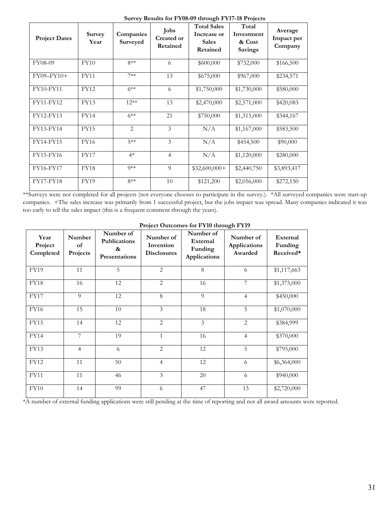| <b>Project Dates</b> | <b>Survey</b><br>Year | Companies<br>Surveyed | <b>Jobs</b><br>Created or<br>Retained | <b>Total Sales</b><br>Increase or<br><b>Sales</b><br>Retained | Total<br>Investment<br>& Cost<br><b>Savings</b> | Average<br>Impact per<br>Company |
|----------------------|-----------------------|-----------------------|---------------------------------------|---------------------------------------------------------------|-------------------------------------------------|----------------------------------|
| FY08-09              | FY10                  | $8**$                 | 6                                     | \$600,000                                                     | \$732,000                                       | \$166,500                        |
| $FY09-FY10+$         | <b>FY11</b>           | $7**$                 | 13                                    | \$675,000                                                     | \$967,000                                       | \$234,571                        |
| <b>FY10-FY11</b>     | <b>FY12</b>           | $6***$                | 6                                     | \$1,750,000                                                   | \$1,730,000                                     | \$580,000                        |
| FY11-FY12            | <b>FY13</b>           | $12**$                | 13                                    | \$2,470,000                                                   | \$2,571,000                                     | \$420,083                        |
| FY12-FY13            | <b>FY14</b>           | $6***$                | 21                                    | \$750,000                                                     | \$1,315,000                                     | \$344,167                        |
| FY13-FY14            | <b>FY15</b>           | $\overline{2}$        | $\overline{3}$                        | N/A                                                           | \$1,167,000                                     | \$583,500                        |
| <b>FY14-FY15</b>     | FY16                  | $5**$                 | 3                                     | N/A                                                           | \$454,500                                       | \$90,000                         |
| FY15-FY16            | <b>FY17</b>           | $4*$                  | $\overline{4}$                        | N/A                                                           | \$1,120,000                                     | \$280,000                        |
| FY16-FY17            | <b>FY18</b>           | $Q$ **                | 9                                     | $$32,600,000+$                                                | \$2,440,750                                     | \$3,893,417                      |
| <b>FY17-FY18</b>     | <b>FY19</b>           | $8**$                 | 10                                    | \$121,200                                                     | \$2,056,000                                     | \$272,150                        |

**Survey Results for FY08-09 through FY17-18 Projects**

\*\*Surveys were not completed for all projects (not everyone chooses to participate in the survey.). \*All surveyed companies were start-up companies. +The sales increase was primarily from 1 successful project, but the jobs impact was spread. Many companies indicated it was too early to tell the sales impact (this is a frequent comment through the years).

| Year<br>Project<br>Completed | Number<br>of<br>Projects | Number of<br><b>Publications</b><br>&<br><b>Presentations</b> | Number of<br>Invention<br><b>Disclosures</b> | Number of<br>External<br>Funding<br><b>Applications</b> | Number of<br><b>Applications</b><br>Awarded | External<br>Funding<br>Received* |
|------------------------------|--------------------------|---------------------------------------------------------------|----------------------------------------------|---------------------------------------------------------|---------------------------------------------|----------------------------------|
| <b>FY19</b>                  | 11                       | 5                                                             | $\overline{2}$                               | 8                                                       | 6                                           | \$1,117,663                      |
| <b>FY18</b>                  | 16                       | 12                                                            | $\overline{2}$                               | 16                                                      | 7                                           | \$1,375,000                      |
| <b>FY17</b>                  | 9                        | 12                                                            | $\overline{8}$                               | $\Omega$                                                | $\overline{4}$                              | \$450,000                        |
| <b>FY16</b>                  | 15                       | 10                                                            | 3                                            | 18                                                      | 5                                           | \$1,070,000                      |
| <b>FY15</b>                  | 14                       | 12                                                            | $\overline{2}$                               | $\overline{\mathbf{3}}$                                 | $\overline{2}$                              | \$384,999                        |
| <b>FY14</b>                  | 7                        | 19                                                            | $\mathbf{1}$                                 | 16                                                      | $\overline{4}$                              | \$370,000                        |
| <b>FY13</b>                  | $\overline{4}$           | 6                                                             | $\overline{2}$                               | 12                                                      | $\overline{5}$                              | \$795,000                        |
| <b>FY12</b>                  | 11                       | 50                                                            | $\overline{4}$                               | 12                                                      | 6                                           | \$6,364,000                      |
| <b>FY11</b>                  | 11                       | 46                                                            | 3                                            | 20                                                      | 6                                           | \$940,000                        |
| FY10                         | 14                       | 99                                                            | 6                                            | 47                                                      | 13                                          | \$2,720,000                      |

| <b>Project Outcomes for FY10 through FY19</b> |  |  |
|-----------------------------------------------|--|--|

\*A number of external funding applications were still pending at the time of reporting and not all award amounts were reported.